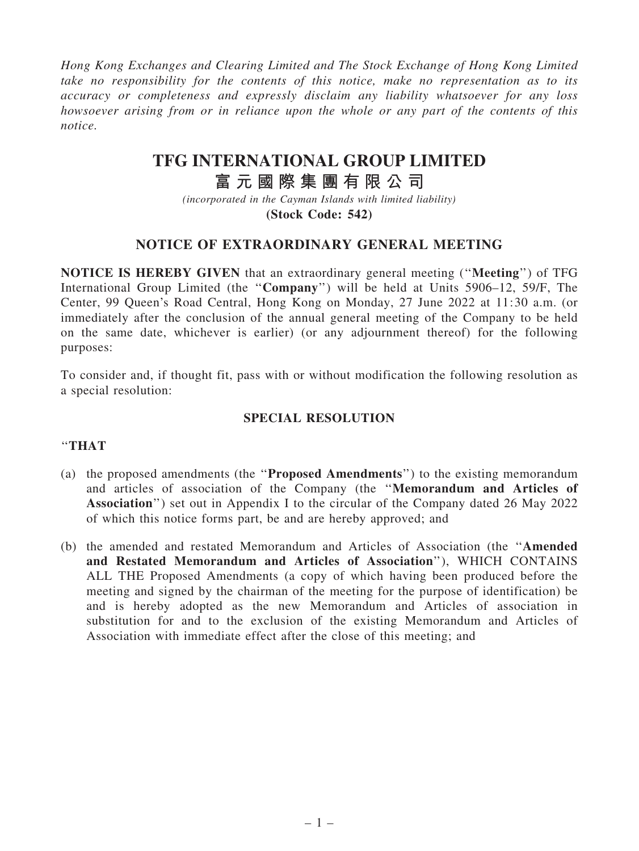*Hong Kong Exchanges and Clearing Limited and The Stock Exchange of Hong Kong Limited take no responsibility for the contents of this notice, make no representation as to its accuracy or completeness and expressly disclaim any liability whatsoever for any loss howsoever arising from or in reliance upon the whole or any part of the contents of this notice.*

# **TFG INTERNATIONAL GROUP LIMITED**

# **富 元 國 際 集 團 有 限 公 司**

*(incorporated in the Cayman Islands with limited liability)* **(Stock Code: 542)**

### NOTICE OF EXTRAORDINARY GENERAL MEETING

NOTICE IS HEREBY GIVEN that an extraordinary general meeting (''Meeting'') of TFG International Group Limited (the ''Company'') will be held at Units 5906–12, 59/F, The Center, 99 Queen's Road Central, Hong Kong on Monday, 27 June 2022 at 11:30 a.m. (or immediately after the conclusion of the annual general meeting of the Company to be held on the same date, whichever is earlier) (or any adjournment thereof) for the following purposes:

To consider and, if thought fit, pass with or without modification the following resolution as a special resolution:

### SPECIAL RESOLUTION

#### ''THAT

- (a) the proposed amendments (the ''Proposed Amendments'') to the existing memorandum and articles of association of the Company (the ''Memorandum and Articles of Association'') set out in Appendix I to the circular of the Company dated 26 May 2022 of which this notice forms part, be and are hereby approved; and
- (b) the amended and restated Memorandum and Articles of Association (the ''Amended and Restated Memorandum and Articles of Association''), WHICH CONTAINS ALL THE Proposed Amendments (a copy of which having been produced before the meeting and signed by the chairman of the meeting for the purpose of identification) be and is hereby adopted as the new Memorandum and Articles of association in substitution for and to the exclusion of the existing Memorandum and Articles of Association with immediate effect after the close of this meeting; and